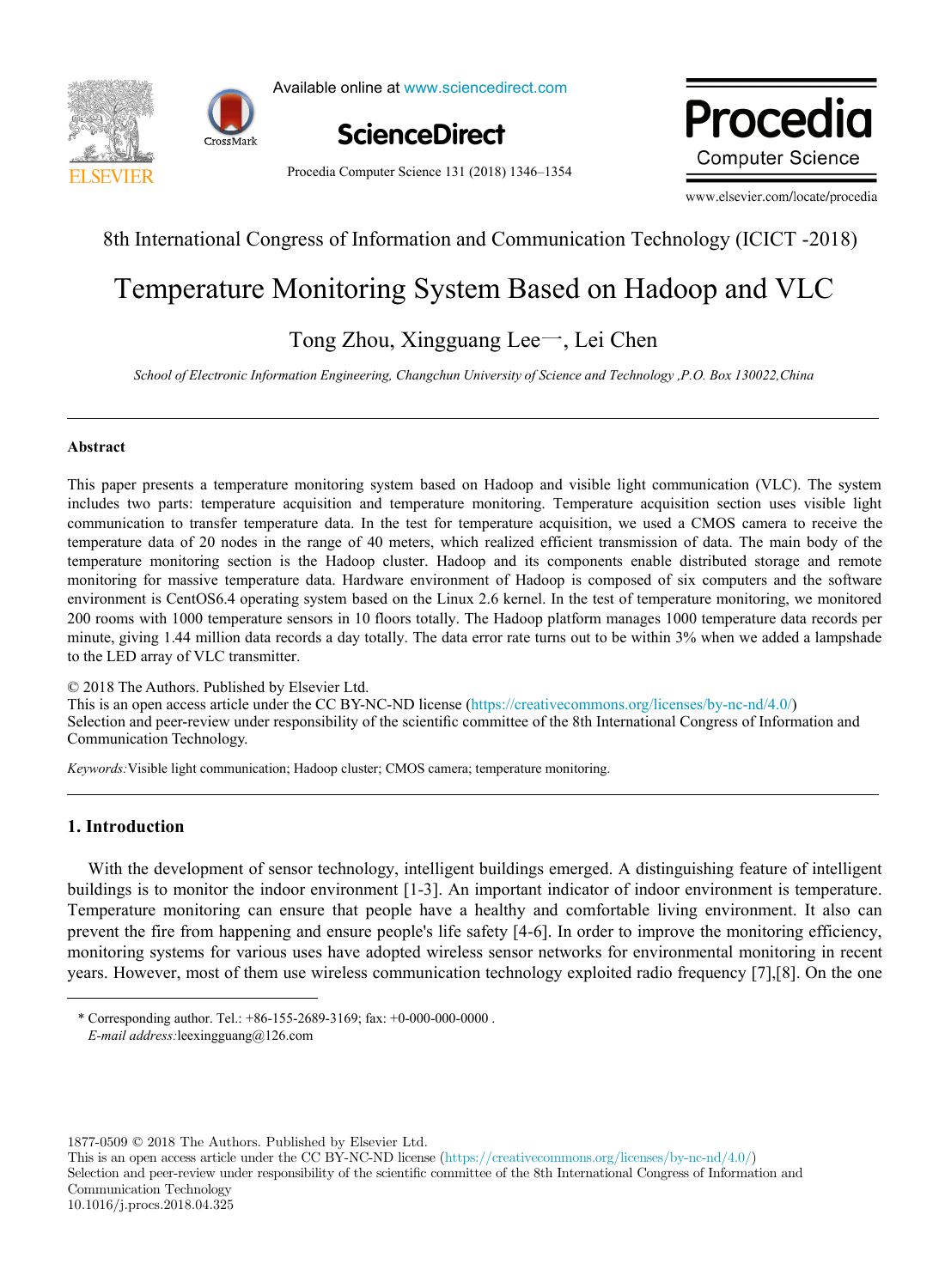



Available online at www.sciencedirect.com Science<br>Director Director Director



Procedia Computer Science 131 (2018) 1346–1354

**Procedia** 

www.elsevier.com/locate/procedia

## $\frac{1}{\sqrt{2}}$ 8th International Congress of Information and Communication Technology (ICICT -2018)

# Temperature Monitoring System Based on Hadoop and VLC Temperature Monitoring System Based on Hadoop and VLC

## Tong Zhou, Xingguang Lee一, Lei Chen Tong Zhou, Xingguang Lee一, Lei Chen

*School of Electronic Information Engineering, Changchun University of Science and Technology ,P.O. Box 130022,China*

### **Abstract**

includes two parts: temperature acquisition and temperature monitoring. Temperature acquisition section uses visible light communication to transfer temperature data. In the test for temperature acquisition, we used a CMOS camera to receive the temperature data of 20 nodes in the range of 40 meters, which realized efficient transmission of data. The main body of the temperature monitoring section is the Hadoop cluster. Hadoop and its components enable distributed storage and remote monitoring for massive temperature data. Hardware environment of Hadoop is composed of six computers and the software environment is CentOS6.4 operating system based on the Linux 2.6 kernel. In the test of temperature monitoring, we monitored 200 rooms with 1000 temperature sensors in 10 floors totally. The Hadoop platform manages 1000 temperature data records per minute, giving 1.44 million data records a day totally. The data error rate turns out to be within 3% when we added a lampshade to the LED array of VLC transmitter. This paper presents a temperature monitoring system based on Hadoop and visible light communication (VLC). The system

© 2018 The Authors. Published by Elsevier Ltd. C 2018 The Authors. Published by Elsevier Ltd.<br>This is an open access article under the CC BY-NC-ND license (https://creativecommons.org/licenses/by-nc-nd/4.0/) Selection and peer-review under responsibility of the scientific committee of the 8th International Congress of Information and Selection and peer-review under responsibility of the scientific committee of the 8th Internat Communication Technology.  $\mathcal{L}$ 

*Keywords:*Visible light communication; Hadoop cluster; CMOS camera; temperature monitoring.

## **1. Introduction**

With the development of sensor technology, intelligent buildings emerged. A distinguishing feature of intelligent buildings is to monitor the indoor environment [1-3]. An important indicator of indoor environment is temperature. Temperature monitoring can ensure that people have a healthy and comfortable living environment. It also can prevent the fire from happening and ensure people's life safety [4-6]. In order to improve the monitoring efficiency, monitoring systems for various uses have adopted wireless sensor networks for environmental monitoring in recent years. However, most of them use wireless communication technology exploited radio frequency [7],[8]. On the one

1877-0509 © 2018 The Authors. Published by Elsevier Ltd.

<sup>\*</sup> Corresponding author. Tel.: +86-155-2689-3169; fax: +0-000-000-0000 . *E-mail address:*leexingguang@126.com *E-mail address:*leexingguang@126.com \* Corresponding author. Tel.: +86-155-2689-3169; fax: +0-000-000-0000 .

This is an open access article under the CC BY-NC-ND license (https://creativecommons.org/licenses/by-nc-nd/4.0/) Selection and peer-review under responsibility of the scientific committee of the 8th International Congress of Information and Communication Technology 10.1016/j.procs.2018.04.325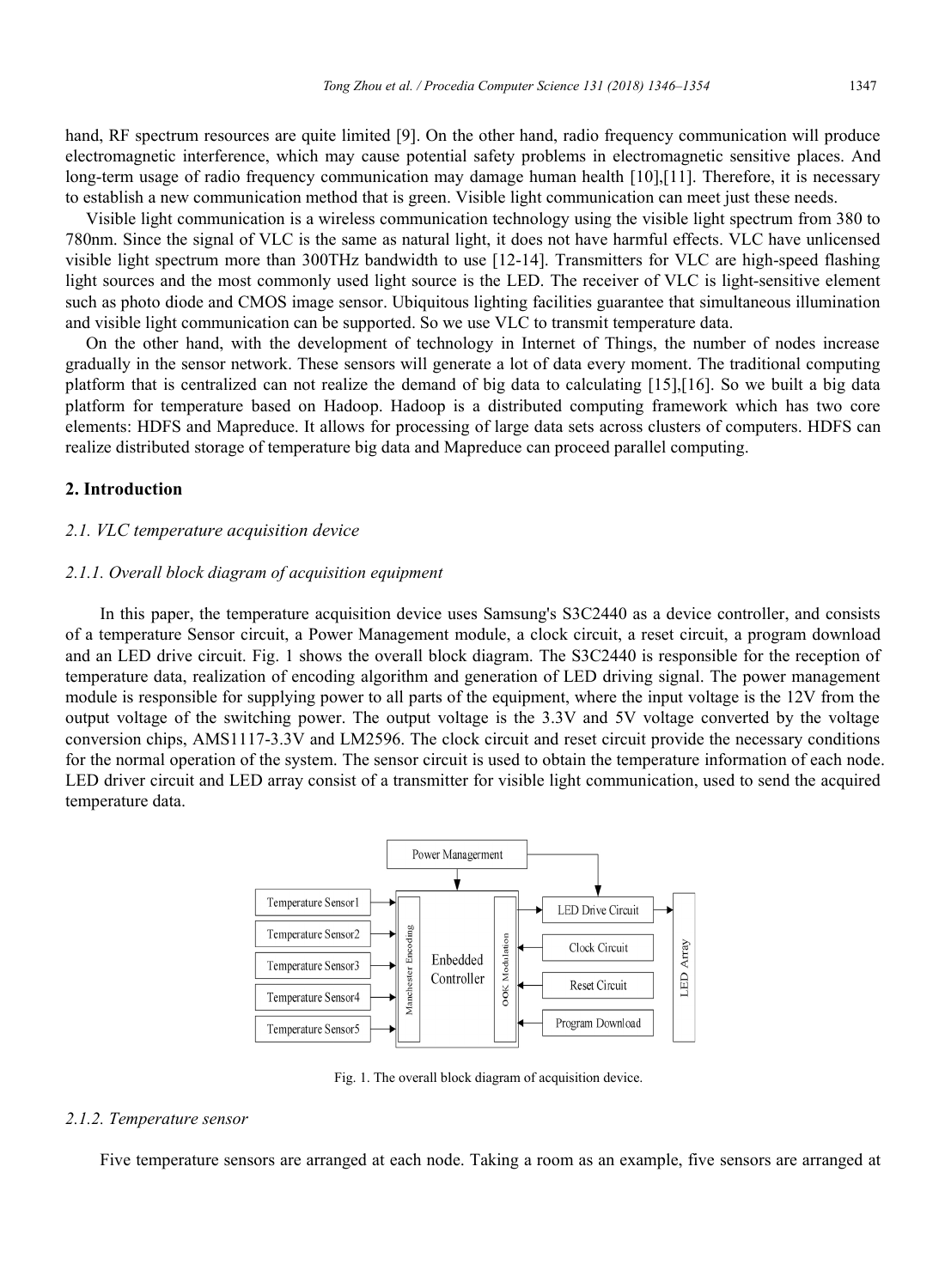hand, RF spectrum resources are quite limited [9]. On the other hand, radio frequency communication will produce electromagnetic interference, which may cause potential safety problems in electromagnetic sensitive places. And long-term usage of radio frequency communication may damage human health [10],[11]. Therefore, it is necessary to establish a new communication method that is green. Visible light communication can meet just these needs.

Visible light communication is a wireless communication technology using the visible light spectrum from 380 to 780nm. Since the signal of VLC is the same as natural light, it does not have harmful effects. VLC have unlicensed visible light spectrum more than 300THz bandwidth to use [12-14]. Transmitters for VLC are high-speed flashing light sources and the most commonly used light source is the LED. The receiver of VLC is light-sensitive element such as photo diode and CMOS image sensor. Ubiquitous lighting facilities guarantee that simultaneous illumination and visible light communication can be supported. So we use VLC to transmit temperature data.

On the other hand, with the development of technology in Internet of Things, the number of nodes increase gradually in the sensor network. These sensors will generate a lot of data every moment. The traditional computing platform that is centralized can not realize the demand of big data to calculating [15],[16]. So we built a big data platform for temperature based on Hadoop. Hadoop is a distributed computing framework which has two core elements: HDFS and Mapreduce. It allows for processing of large data sets across clusters of computers. HDFS can realize distributed storage of temperature big data and Mapreduce can proceed parallel computing.

#### **2. Introduction**

#### *2.1. VLC temperature acquisition device*

#### *2.1.1. Overall block diagram of acquisition equipment*

In this paper, the temperature acquisition device uses Samsung's S3C2440 as a device controller, and consists of a temperature Sensor circuit, a Power Management module, a clock circuit, a reset circuit, a program download and an LED drive circuit. Fig. 1 shows the overall block diagram. The S3C2440 is responsible for the reception of temperature data, realization of encoding algorithm and generation of LED driving signal. The power management module is responsible for supplying power to all parts of the equipment, where the input voltage is the 12V from the output voltage of the switching power. The output voltage is the 3.3V and 5V voltage converted by the voltage conversion chips, AMS1117-3.3V and LM2596. The clock circuit and reset circuit provide the necessary conditions for the normal operation of the system. The sensor circuit is used to obtain the temperature information of each node. LED driver circuit and LED array consist of a transmitter for visible light communication, used to send the acquired temperature data.



Fig. 1. The overall block diagram of acquisition device.

#### *2.1.2. Temperature sensor*

Five temperature sensors are arranged at each node. Taking a room as an example, five sensors are arranged at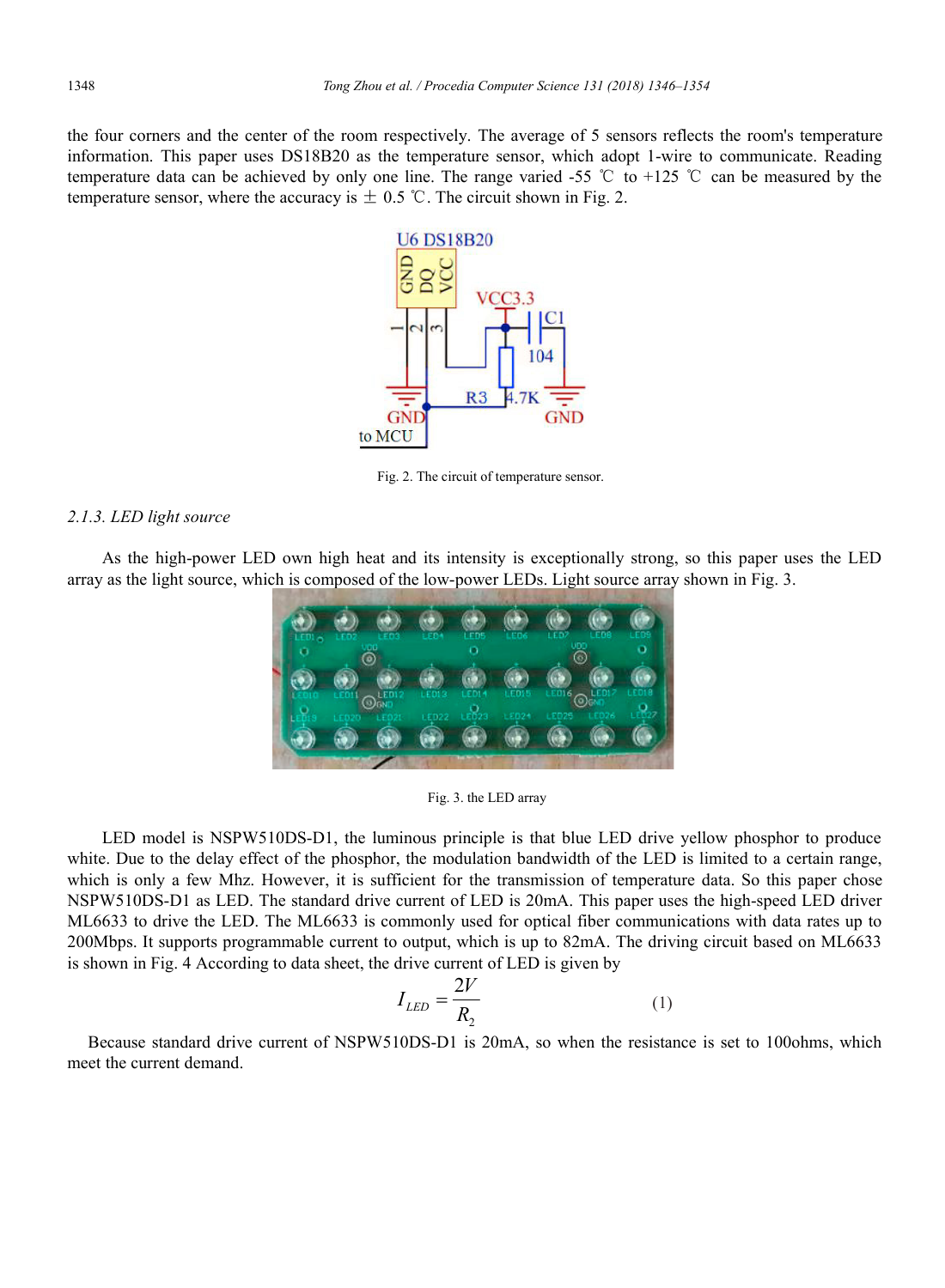the four corners and the center of the room respectively. The average of 5 sensors reflects the room's temperature information. This paper uses DS18B20 as the temperature sensor, which adopt 1-wire to communicate. Reading temperature data can be achieved by only one line. The range varied -55 ℃ to +125 ℃ can be measured by the temperature sensor, where the accuracy is  $\pm$  0.5 °C. The circuit shown in Fig. 2.



Fig. 2. The circuit of temperature sensor.

### *2.1.3. LED light source*

As the high-power LED own high heat and its intensity is exceptionally strong, so this paper uses the LED array as the light source, which is composed of the low-power LEDs. Light source array shown in Fig. 3.



Fig. 3. the LED array

LED model is NSPW510DS-D1, the luminous principle is that blue LED drive yellow phosphor to produce white. Due to the delay effect of the phosphor, the modulation bandwidth of the LED is limited to a certain range, which is only a few Mhz. However, it is sufficient for the transmission of temperature data. So this paper chose NSPW510DS-D1 as LED. The standard drive current of LED is 20mA. This paper uses the high-speed LED driver ML6633 to drive the LED. The ML6633 is commonly used for optical fiber communications with data rates up to 200Mbps. It supports programmable current to output, which is up to 82mA. The driving circuit based on ML6633 is shown in Fig. 4 According to data sheet, the drive current of LED is given by

$$
I_{LED} = \frac{2V}{R_2} \tag{1}
$$

Because standard drive current of NSPW510DS-D1 is 20mA, so when the resistance is set to 100ohms, which meet the current demand.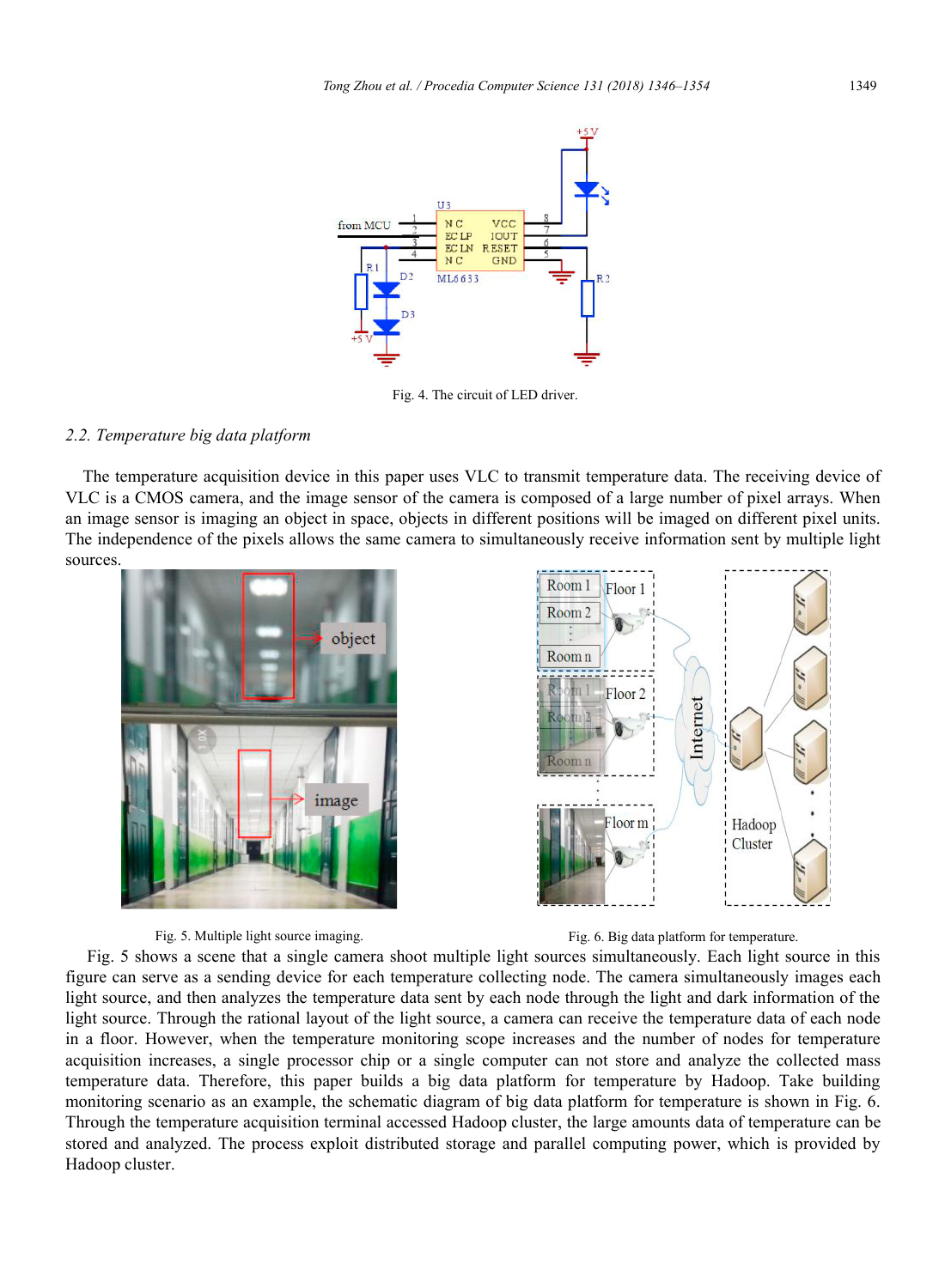

Fig. 4. The circuit of LED driver.

#### *2.2. Temperature big data platform*

The temperature acquisition device in this paper uses VLC to transmit temperature data. The receiving device of VLC is a CMOS camera, and the image sensor of the camera is composed of a large number of pixel arrays. When an image sensor is imaging an object in space, objects in different positions will be imaged on different pixel units. The independence of the pixels allows the same camera to simultaneously receive information sent by multiple light sources.







Fig. 5 shows a scene that a single camera shoot multiple light sources simultaneously. Each light source in this figure can serve as a sending device for each temperature collecting node. The camera simultaneously images each light source, and then analyzes the temperature data sent by each node through the light and dark information of the light source. Through the rational layout of the light source, a camera can receive the temperature data of each node in a floor. However, when the temperature monitoring scope increases and the number of nodes for temperature acquisition increases, a single processor chip or a single computer can not store and analyze the collected mass temperature data. Therefore, this paper builds a big data platform for temperature by Hadoop. Take building monitoring scenario as an example, the schematic diagram of big data platform for temperature is shown in Fig. 6. Through the temperature acquisition terminal accessed Hadoop cluster, the large amounts data of temperature can be stored and analyzed. The process exploit distributed storage and parallel computing power, which is provided by Hadoop cluster.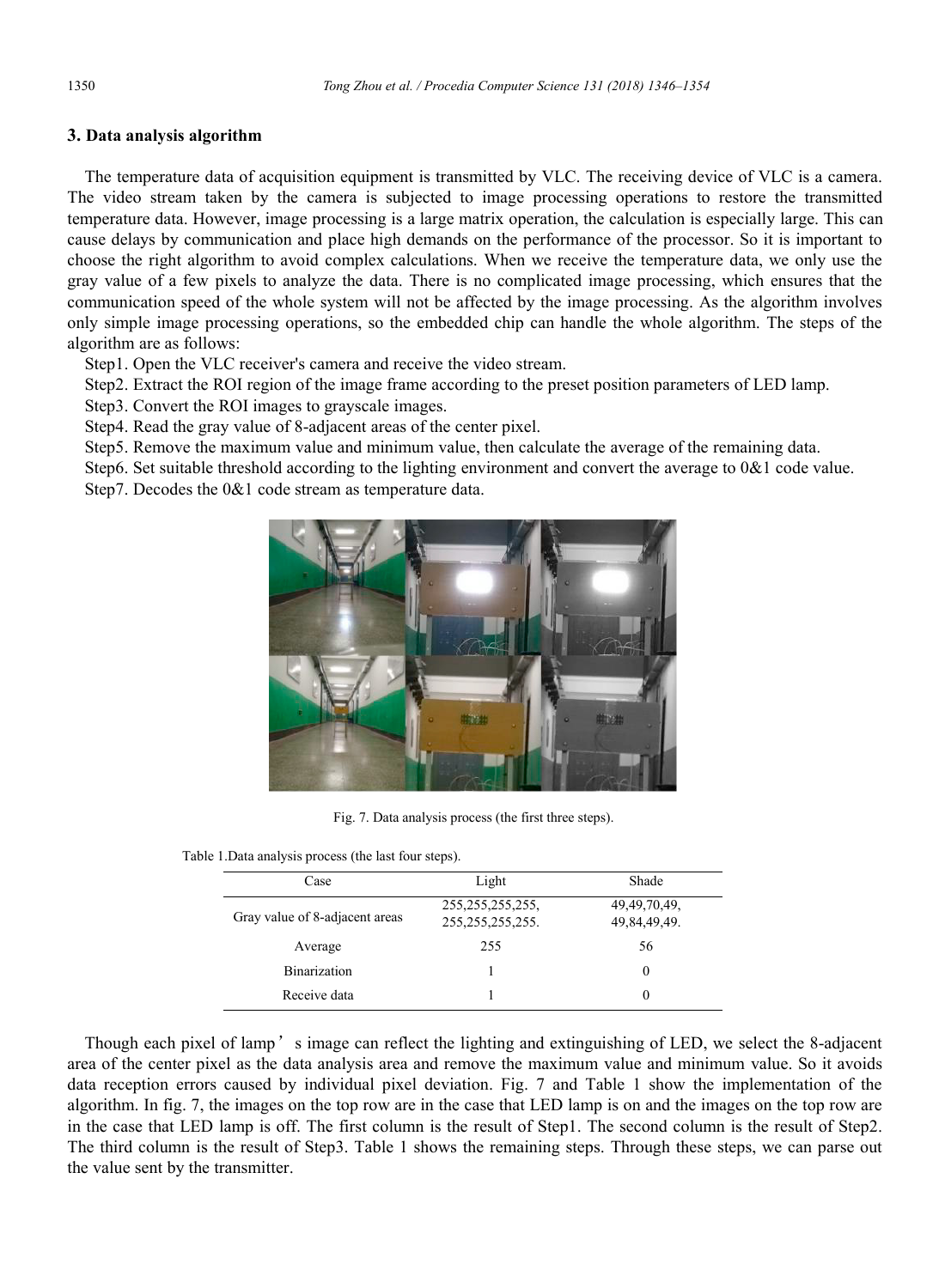### **3. Data analysis algorithm**

The temperature data of acquisition equipment is transmitted by VLC. The receiving device of VLC is a camera. The video stream taken by the camera is subjected to image processing operations to restore the transmitted temperature data. However, image processing is a large matrix operation, the calculation is especially large. This can cause delays by communication and place high demands on the performance of the processor. So it is important to choose the right algorithm to avoid complex calculations. When we receive the temperature data, we only use the gray value of a few pixels to analyze the data. There is no complicated image processing, which ensures that the communication speed of the whole system will not be affected by the image processing. As the algorithm involves only simple image processing operations, so the embedded chip can handle the whole algorithm. The steps of the algorithm are as follows:

Step1. Open the VLC receiver's camera and receive the video stream.

Step2. Extract the ROI region of the image frame according to the preset position parameters of LED lamp.

Step3. Convert the ROI images to grayscale images.

Step4. Read the gray value of 8-adjacent areas of the center pixel.

Step5. Remove the maximum value and minimum value, then calculate the average of the remaining data.

Step6. Set suitable threshold according to the lighting environment and convert the average to 0&1 code value.

Step7. Decodes the 0&1 code stream as temperature data.



Fig. 7. Data analysis process (the first three steps).

Table 1.Data analysis process (the last four steps).

| Case                           | Light                                      | Shade                           |
|--------------------------------|--------------------------------------------|---------------------------------|
| Gray value of 8-adjacent areas | 255, 255, 255, 255,<br>255, 255, 255, 255. | 49, 49, 70, 49,<br>49,84,49,49. |
| Average                        | 255                                        | 56                              |
| Binarization                   |                                            | $\theta$                        |
| Receive data                   |                                            | $\theta$                        |

Though each pixel of lamp's image can reflect the lighting and extinguishing of LED, we select the 8-adjacent area of the center pixel as the data analysis area and remove the maximum value and minimum value. So it avoids data reception errors caused by individual pixel deviation. Fig. 7 and Table 1 show the implementation of the algorithm. In fig. 7, the images on the top row are in the case that LED lamp is on and the images on the top row are in the case that LED lamp is off. The first column is the result of Step1. The second column is the result of Step2. The third column is the result of Step3. Table 1 shows the remaining steps. Through these steps, we can parse out the value sent by the transmitter.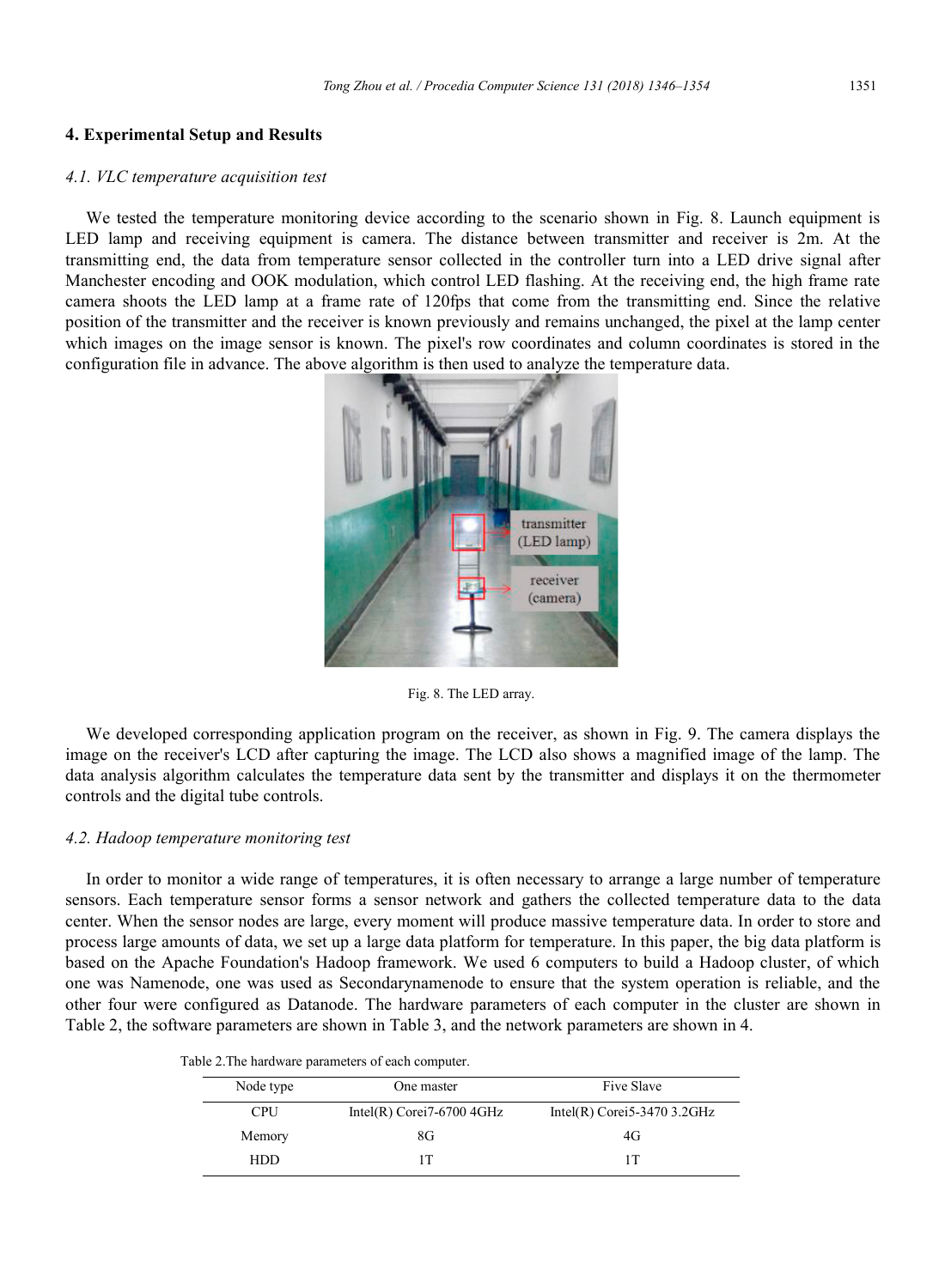#### **4. Experimental Setup and Results**

#### *4.1. VLC temperature acquisition test*

We tested the temperature monitoring device according to the scenario shown in Fig. 8. Launch equipment is LED lamp and receiving equipment is camera. The distance between transmitter and receiver is 2m. At the transmitting end, the data from temperature sensor collected in the controller turn into a LED drive signal after Manchester encoding and OOK modulation, which control LED flashing. At the receiving end, the high frame rate camera shoots the LED lamp at a frame rate of 120fps that come from the transmitting end. Since the relative position of the transmitter and the receiver is known previously and remains unchanged, the pixel at the lamp center which images on the image sensor is known. The pixel's row coordinates and column coordinates is stored in the configuration file in advance. The above algorithm is then used to analyze the temperature data.



Fig. 8. The LED array.

We developed corresponding application program on the receiver, as shown in Fig. 9. The camera displays the image on the receiver's LCD after capturing the image. The LCD also shows a magnified image of the lamp. The data analysis algorithm calculates the temperature data sent by the transmitter and displays it on the thermometer controls and the digital tube controls.

#### *4.2. Hadoop temperature monitoring test*

In order to monitor a wide range of temperatures, it is often necessary to arrange a large number of temperature sensors. Each temperature sensor forms a sensor network and gathers the collected temperature data to the data center. When the sensor nodes are large, every moment will produce massive temperature data. In order to store and process large amounts of data, we set up a large data platform for temperature. In this paper, the big data platform is based on the Apache Foundation's Hadoop framework. We used 6 computers to build a Hadoop cluster, of which one was Namenode, one was used as Secondarynamenode to ensure that the system operation is reliable, and the other four were configured as Datanode. The hardware parameters of each computer in the cluster are shown in Table 2, the software parameters are shown in Table 3, and the network parameters are shown in 4.

| Table 2. The hardware parameters of each computer. |  |  |  |
|----------------------------------------------------|--|--|--|
|                                                    |  |  |  |

| Node type  | One master                   | <b>Five Slave</b>             |  |  |
|------------|------------------------------|-------------------------------|--|--|
| <b>CPU</b> | Intel(R) Corei $7-67004$ GHz | Intel(R) Corei 5-3470 3.2 GHz |  |  |
| Memory     | 8G                           | 4G                            |  |  |
| HDD        | 1T                           | 1T                            |  |  |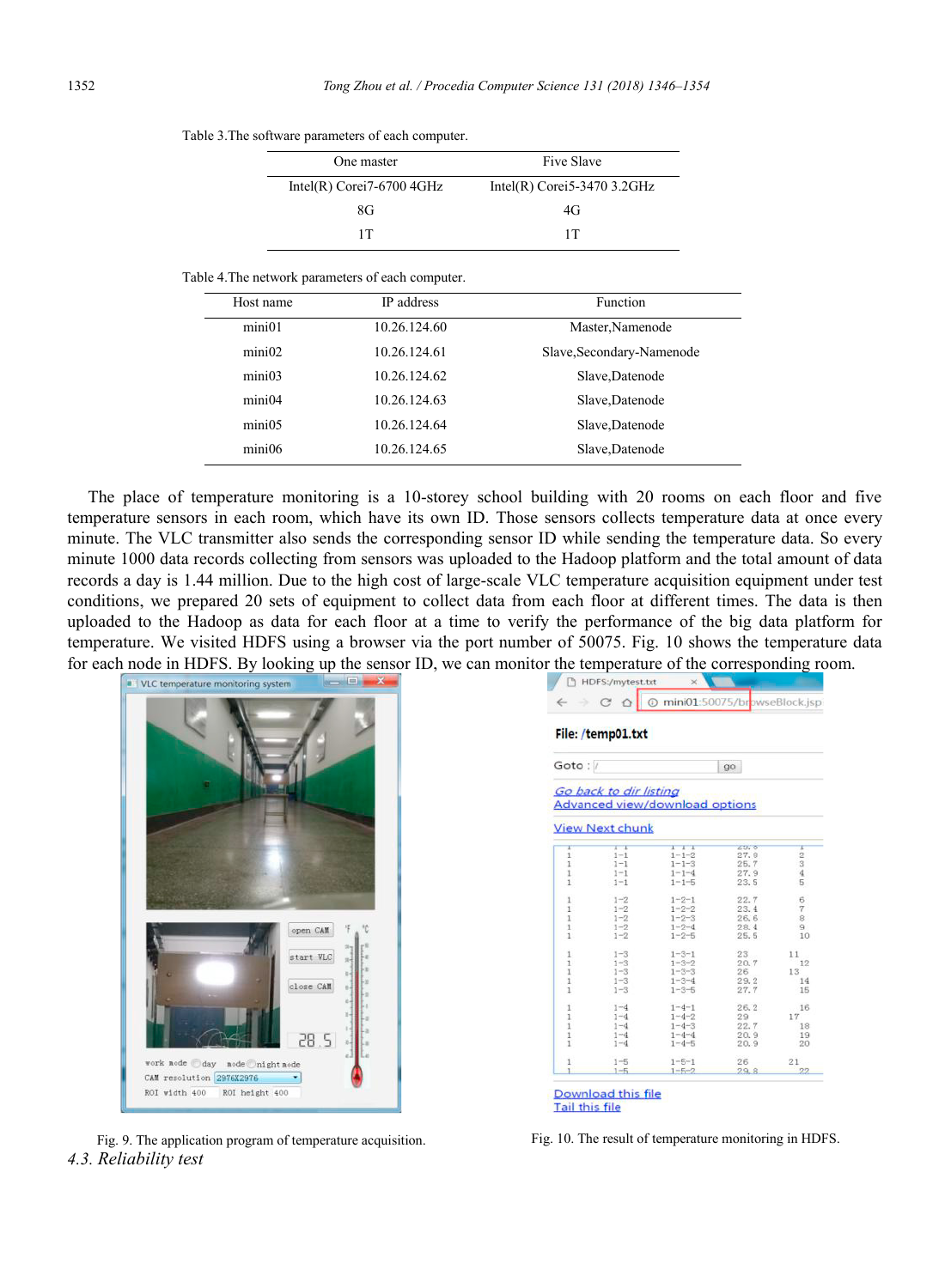| One master                   | Five Slave<br>Intel(R) Corei 5-3470 3.2 GHz |  |
|------------------------------|---------------------------------------------|--|
| Intel(R) Corei $7-67004$ GHz |                                             |  |
| 8G                           | 4G                                          |  |
| 1Т                           | 1Т                                          |  |

#### Table 4.The network parameters of each computer.

| Host name | IP address   | <b>Function</b>           |
|-----------|--------------|---------------------------|
| min1      | 10.26.124.60 | Master, Namenode          |
| mini02    | 10.26.124.61 | Slave, Secondary-Namenode |
| min103    | 10.26.124.62 | Slave, Datenode           |
| min104    | 10.26.124.63 | Slave, Datenode           |
| min105    | 10.26.124.64 | Slave, Datenode           |
| min106    | 10.26.124.65 | Slave, Datenode           |

The place of temperature monitoring is a 10-storey school building with 20 rooms on each floor and five temperature sensors in each room, which have its own ID. Those sensors collects temperature data at once every minute. The VLC transmitter also sends the corresponding sensor ID while sending the temperature data. So every minute 1000 data records collecting from sensors was uploaded to the Hadoop platform and the total amount of data records a day is 1.44 million. Due to the high cost of large-scale VLC temperature acquisition equipment under test conditions, we prepared 20 sets of equipment to collect data from each floor at different times. The data is then uploaded to the Hadoop as data for each floor at a time to verify the performance of the big data platform for temperature. We visited HDFS using a browser via the port number of 50075. Fig. 10 shows the temperature data for each node in HDFS. By looking up the sensor ID, we can monitor the temperature of the corresponding room.



*4.3. Reliability test*

| File: /temp01.txt |                                                  |                                       |                 |              |  |  |
|-------------------|--------------------------------------------------|---------------------------------------|-----------------|--------------|--|--|
| Goto:/            |                                                  |                                       | 90 <sup>°</sup> |              |  |  |
|                   | Go back to dir listing<br><b>View Next chunk</b> | <b>Advanced view/download options</b> |                 |              |  |  |
| x<br>1            | $1 - 1$<br>$1 - 1$                               | $1 + 1$<br>$1 - 1 - 2$                | 2.0, 0<br>27.8  | x<br>2       |  |  |
| 1                 | $1 - 1$                                          | $1 - 1 - 3$                           | 25.7            | 3            |  |  |
| 1                 | $1 - 1$                                          | $1 - 1 - 4$                           | 27.9            | $\mathbf{4}$ |  |  |
| 1                 | $1 - 1$                                          | $1 - 1 - 5$                           | 23.5            | 5            |  |  |
| 1                 | $1 - 2$                                          | $1 - 2 - 1$                           | 22.7            | 6            |  |  |
| 1                 | $1 - 2$                                          | $1 - 2 - 2$                           | 23.4            | $\tau$       |  |  |
| 1<br>$\mathbf{1}$ | $1 - 2$<br>$1 - 2$                               | $1 - 2 - 3$<br>$1 - 2 - 4$            | 26.6<br>28.4    | 8<br>9       |  |  |
| 1                 | $1 - 2$                                          | $1 - 2 - 5$                           | 25.5            | 10           |  |  |
| $\mathbf{1}$      | $1 - 3$                                          | $1 - 3 - 1$                           | $23 -$          | 11           |  |  |
| 1                 | $1 - 3$                                          | $1 - 3 - 2$                           | 20.7            | 12           |  |  |
| 1                 | $1 - 3$                                          | $1 - 3 - 3$                           | 26              | 13           |  |  |
| 1<br>1            | $1 - 3$<br>$1 - 3$                               | $1 - 3 - 4$<br>$1 - 3 - 5$            | 29.2<br>27.7    | 14<br>15     |  |  |
|                   |                                                  |                                       |                 |              |  |  |
| 1                 | $1 - 4$                                          | $1 - 4 - 1$                           | 26.2            | 16           |  |  |
| 1<br>1            | $1 - 4$<br>$1 - 4$                               | $1 - 4 - 2$<br>$1 - 4 - 3$            | 29<br>22.7      | 17<br>18     |  |  |
| $\mathbf{1}$      | $1 - 4$                                          | $1 - 4 - 4$                           | 20.9            | 19           |  |  |
| 1                 | $1 - 4$                                          | $1 - 4 - 5$                           | 20.9            | 20           |  |  |
| 1                 | $1 - 5$                                          | $1 - 5 - 1$                           | 26              | 21           |  |  |
|                   | $1 - 5$                                          | $1 - 5 - 2$                           | 29.8            | 22           |  |  |

Fig. 9. The application program of temperature acquisition. Fig. 10. The result of temperature monitoring in HDFS.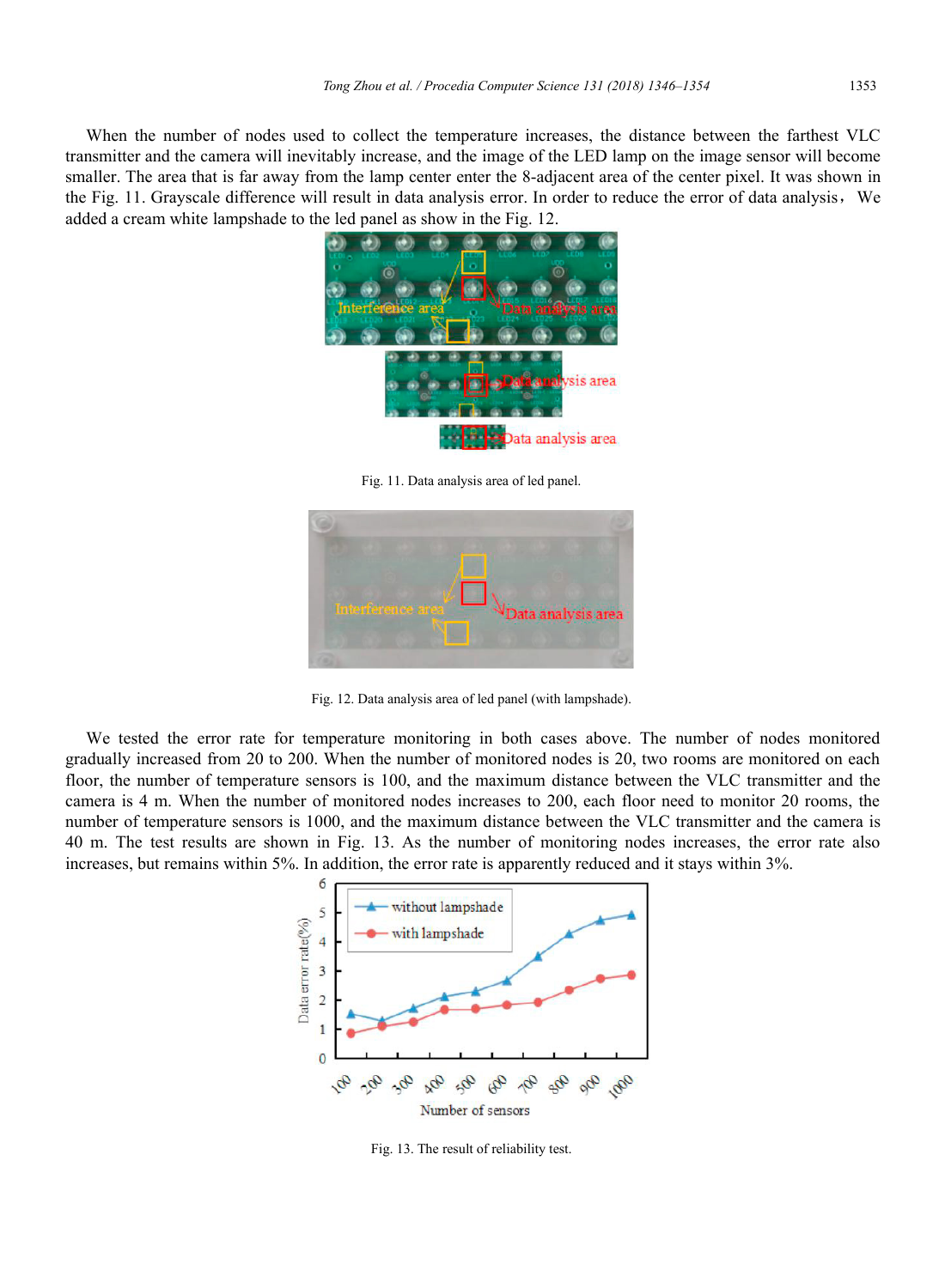When the number of nodes used to collect the temperature increases, the distance between the farthest VLC transmitter and the camera will inevitably increase, and the image of the LED lamp on the image sensor will become smaller. The area that is far away from the lamp center enter the 8-adjacent area of the center pixel. It was shown in the Fig. 11. Grayscale difference will result in data analysis error. In order to reduce the error of data analysis, We added a cream white lampshade to the led panel as show in the Fig. 12.



Fig. 11. Data analysis area of led panel.



Fig. 12. Data analysis area of led panel (with lampshade).

We tested the error rate for temperature monitoring in both cases above. The number of nodes monitored gradually increased from 20 to 200. When the number of monitored nodes is 20, two rooms are monitored on each floor, the number of temperature sensors is 100, and the maximum distance between the VLC transmitter and the camera is 4 m. When the number of monitored nodes increases to 200, each floor need to monitor 20 rooms, the number of temperature sensors is 1000, and the maximum distance between the VLC transmitter and the camera is 40 m. The test results are shown in Fig. 13. As the number of monitoring nodes increases, the error rate also increases, but remains within 5%. In addition, the error rate is apparently reduced and it stays within 3%.



Fig. 13. The result of reliability test.